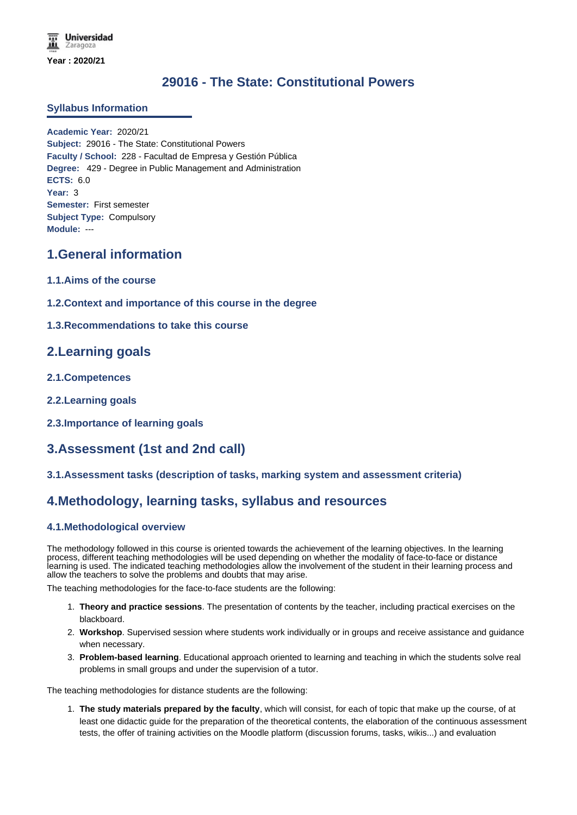# **29016 - The State: Constitutional Powers**

#### **Syllabus Information**

**Academic Year:** 2020/21 **Subject:** 29016 - The State: Constitutional Powers **Faculty / School:** 228 - Facultad de Empresa y Gestión Pública **Degree:** 429 - Degree in Public Management and Administration **ECTS:** 6.0 **Year:** 3 **Semester:** First semester **Subject Type:** Compulsory **Module:** ---

## **1.General information**

- **1.1.Aims of the course**
- **1.2.Context and importance of this course in the degree**
- **1.3.Recommendations to take this course**

## **2.Learning goals**

- **2.1.Competences**
- **2.2.Learning goals**
- **2.3.Importance of learning goals**

## **3.Assessment (1st and 2nd call)**

**3.1.Assessment tasks (description of tasks, marking system and assessment criteria)**

## **4.Methodology, learning tasks, syllabus and resources**

#### **4.1.Methodological overview**

The methodology followed in this course is oriented towards the achievement of the learning objectives. In the learning process, different teaching methodologies will be used depending on whether the modality of face-to-face or distance learning is used. The indicated teaching methodologies allow the involvement of the student in their learning process and allow the teachers to solve the problems and doubts that may arise.

The teaching methodologies for the face-to-face students are the following:

- 1. **Theory and practice sessions**. The presentation of contents by the teacher, including practical exercises on the blackboard.
- 2. **Workshop**. Supervised session where students work individually or in groups and receive assistance and guidance when necessary.
- 3. **Problem-based learning**. Educational approach oriented to learning and teaching in which the students solve real problems in small groups and under the supervision of a tutor.

The teaching methodologies for distance students are the following:

1. **The study materials prepared by the faculty**, which will consist, for each of topic that make up the course, of at least one didactic guide for the preparation of the theoretical contents, the elaboration of the continuous assessment tests, the offer of training activities on the Moodle platform (discussion forums, tasks, wikis...) and evaluation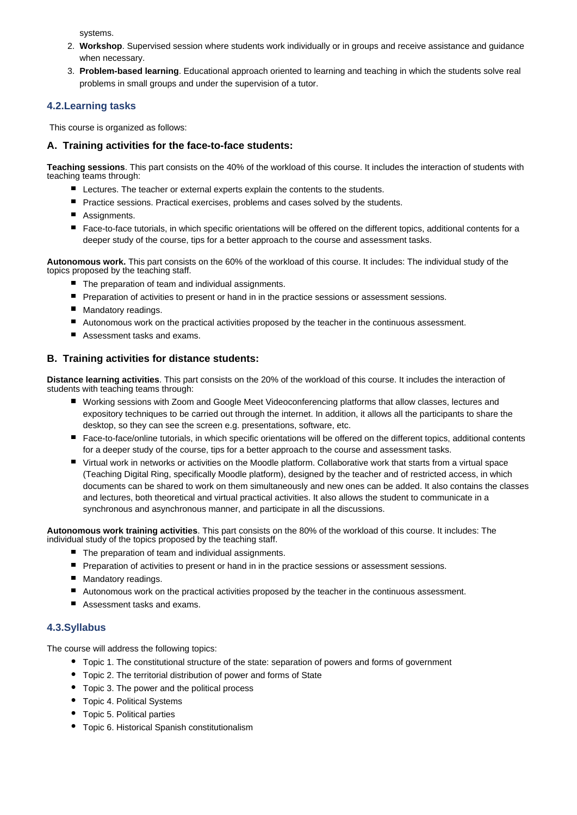systems.

- 2. **Workshop**. Supervised session where students work individually or in groups and receive assistance and guidance when necessary.
- 3. **Problem-based learning**. Educational approach oriented to learning and teaching in which the students solve real problems in small groups and under the supervision of a tutor.

#### **4.2.Learning tasks**

This course is organized as follows:

#### **A. Training activities for the face-to-face students:**

**Teaching sessions**. This part consists on the 40% of the workload of this course. It includes the interaction of students with teaching teams through:

- Lectures. The teacher or external experts explain the contents to the students.
- **P** Practice sessions. Practical exercises, problems and cases solved by the students.
- Assignments.
- Face-to-face tutorials, in which specific orientations will be offered on the different topics, additional contents for a deeper study of the course, tips for a better approach to the course and assessment tasks.

**Autonomous work.** This part consists on the 60% of the workload of this course. It includes: The individual study of the topics proposed by the teaching staff.

- $\blacksquare$  The preparation of team and individual assignments.
- **Peroprese** Preparation of activities to present or hand in in the practice sessions or assessment sessions.
- **Mandatory readings.**
- Autonomous work on the practical activities proposed by the teacher in the continuous assessment.
- Assessment tasks and exams.

#### **B. Training activities for distance students:**

**Distance learning activities**. This part consists on the 20% of the workload of this course. It includes the interaction of students with teaching teams through:

- Working sessions with Zoom and Google Meet Videoconferencing platforms that allow classes, lectures and expository techniques to be carried out through the internet. In addition, it allows all the participants to share the desktop, so they can see the screen e.g. presentations, software, etc.
- Face-to-face/online tutorials, in which specific orientations will be offered on the different topics, additional contents for a deeper study of the course, tips for a better approach to the course and assessment tasks.
- Virtual work in networks or activities on the Moodle platform. Collaborative work that starts from a virtual space (Teaching Digital Ring, specifically Moodle platform), designed by the teacher and of restricted access, in which documents can be shared to work on them simultaneously and new ones can be added. It also contains the classes and lectures, both theoretical and virtual practical activities. It also allows the student to communicate in a synchronous and asynchronous manner, and participate in all the discussions.

**Autonomous work training activities**. This part consists on the 80% of the workload of this course. It includes: The individual study of the topics proposed by the teaching staff.

- The preparation of team and individual assignments.
- **Preparation of activities to present or hand in in the practice sessions or assessment sessions.**
- Mandatory readings.
- Autonomous work on the practical activities proposed by the teacher in the continuous assessment.
- Assessment tasks and exams.

#### **4.3.Syllabus**

The course will address the following topics:

- Topic 1. The constitutional structure of the state: separation of powers and forms of government
- Topic 2. The territorial distribution of power and forms of State
- Topic 3. The power and the political process
- Topic 4. Political Systems
- Topic 5. Political parties
- Topic 6. Historical Spanish constitutionalism